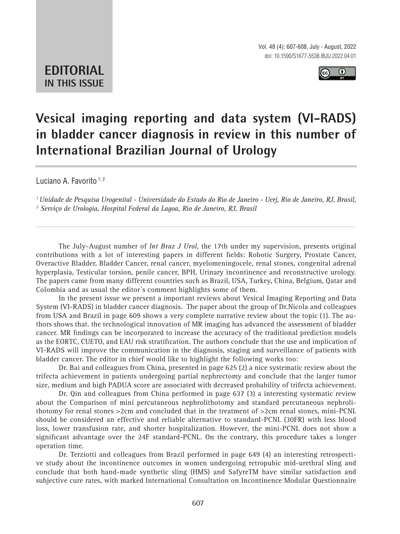Vol. 48 (4): 607-608, July - August, 2022 doi: 10.1590/S1677-5538.IBJU.2022.04.01



## **EDITORIAL IN THIS ISSUE**

# **Vesical imaging reporting and data system (VI-RADS) in bladder cancer diagnosis in review in this number of International Brazilian Journal of Urology \_\_\_\_\_\_\_\_\_\_\_\_\_\_\_\_\_\_\_\_\_\_\_\_\_\_\_\_\_\_\_\_\_\_\_\_\_\_\_\_\_\_\_\_\_\_\_**

Luciano A. Favorito<sup>1,2</sup>

*1 Unidade de Pesquisa Urogenital - Universidade do Estado do Rio de Janeiro - Uerj, Rio de Janeiro, RJ, Brasil, 2 Serviço de Urologia, Hospital Federal da Lagoa, Rio de Janeiro, RJ, Brasil*

*\_\_\_\_\_\_\_\_\_\_\_\_\_\_\_\_\_\_\_\_\_\_\_\_\_\_\_\_\_\_\_\_\_\_\_\_\_\_\_\_\_\_\_\_\_\_\_\_\_\_\_\_\_\_\_\_\_\_\_\_\_\_\_\_\_\_\_\_\_\_\_\_\_\_\_\_\_\_\_\_\_\_\_\_\_\_\_*

The July-August number of *Int Braz J Urol*, the 17th under my supervision, presents original contributions with a lot of interesting papers in different fields: Robotic Surgery, Prostate Cancer, Overactive Bladder, Bladder Cancer, renal cancer, myelomeningocele, renal stones, congenital adrenal hyperplasia, Testicular torsion, penile cancer, BPH, Urinary incontinence and reconstructive urology. The papers came from many different countries such as Brazil, USA, Turkey, China, Belgium, Qatar and Colombia and as usual the editor´s comment highlights some of them.

In the present issue we present a important reviews about Vesical Imaging Reporting and Data System (VI-RADS) in bladder cancer diagnosis. The paper about the group of Dr.Nicola and colleagues from USA and Brazil in page 609 shows a very complete narrative review about the topic (1). The authors shows that. the technological innovation of MR imaging has advanced the assessment of bladder cancer. MR findings can be incorporated to increase the accuracy of the traditional prediction models as the EORTC, CUETO, and EAU risk stratification. The authors conclude that the use and implication of VI-RADS will improve the communication in the diagnosis, staging and surveillance of patients with bladder cancer. The editor in chief would like to highlight the following works too:

Dr. Bai and colleagues from China, presented in page 625 (2) a nice systematic review about the trifecta achievement in patients undergoing partial nephrectomy and conclude that the larger tumor size, medium and high PADUA score are associated with decreased probability of trifecta achievement.

Dr. Qin and colleagues from China performed in page 637 (3) a interesting systematic review about the Comparison of mini percutaneous nephrolithotomy and standard percutaneous nephrolithotomy for renal stones >2cm and concluded that in the treatment of >2cm renal stones, mini-PCNL should be considered an effective and reliable alternative to standard-PCNL (30FR) with less blood loss, lower transfusion rate, and shorter hospitalization. However, the mini-PCNL does not show a significant advantage over the 24F standard-PCNL. On the contrary, this procedure takes a longer operation time.

Dr. Terziotti and colleagues from Brazil performed in page 649 (4) an interesting retrospective study about the incontinence outcomes in women undergoing retropubic mid-urethral sling and conclude that both hand-made synthetic sling (HMS) and SafyreTM have similar satisfaction and subjective cure rates, with marked International Consultation on Incontinence Modular Questionnaire